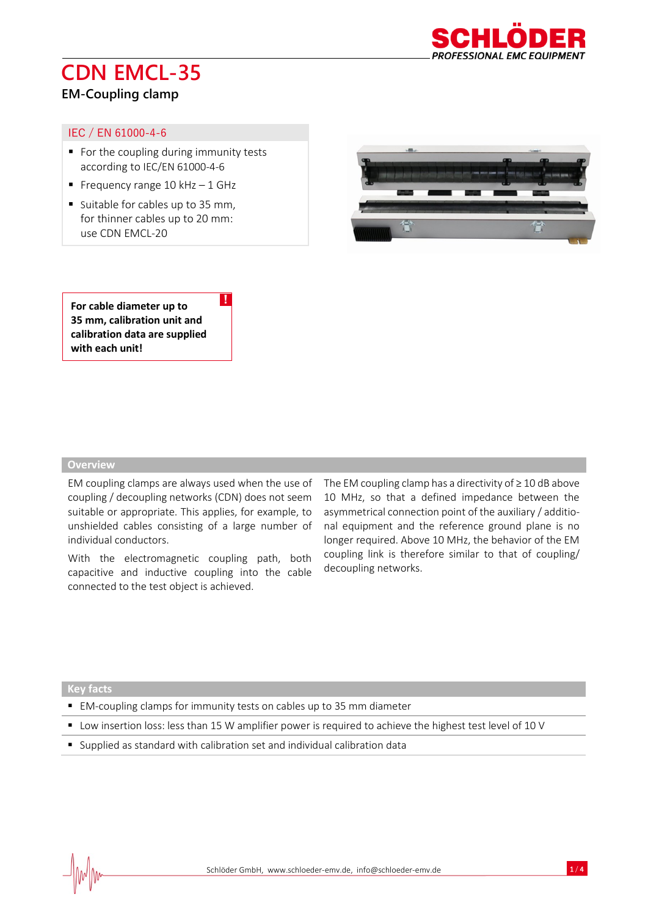

# **CDN EMCL-35**

### **EM-Coupling clamp**

#### IEC / EN 61000-4-6

- For the coupling during immunity tests according to IEC/EN 61000-4-6
- **•** Frequency range  $10$  kHz  $-1$  GHz
- Suitable for cables up to 35 mm, for thinner cables up to 20 mm: use CDN EMCL-20



**For cable diameter up to 35 mm, calibration unit and calibration data are supplied with each unit!**

#### **Overview**

j

EM coupling clamps are always used when the use of coupling / decoupling networks (CDN) does not seem suitable or appropriate. This applies, for example, to unshielded cables consisting of a large number of individual conductors.

!

With the electromagnetic coupling path, both capacitive and inductive coupling into the cable connected to the test object is achieved.

The EM coupling clamp has a directivity of ≥ 10 dB above 10 MHz, so that a defined impedance between the asymmetrical connection point of the auxiliary / additional equipment and the reference ground plane is no longer required. Above 10 MHz, the behavior of the EM coupling link is therefore similar to that of coupling/ decoupling networks.

**Key facts**

- EM-coupling clamps for immunity tests on cables up to 35 mm diameter
- Low insertion loss: less than 15 W amplifier power is required to achieve the highest test level of 10 V
- Supplied as standard with calibration set and individual calibration data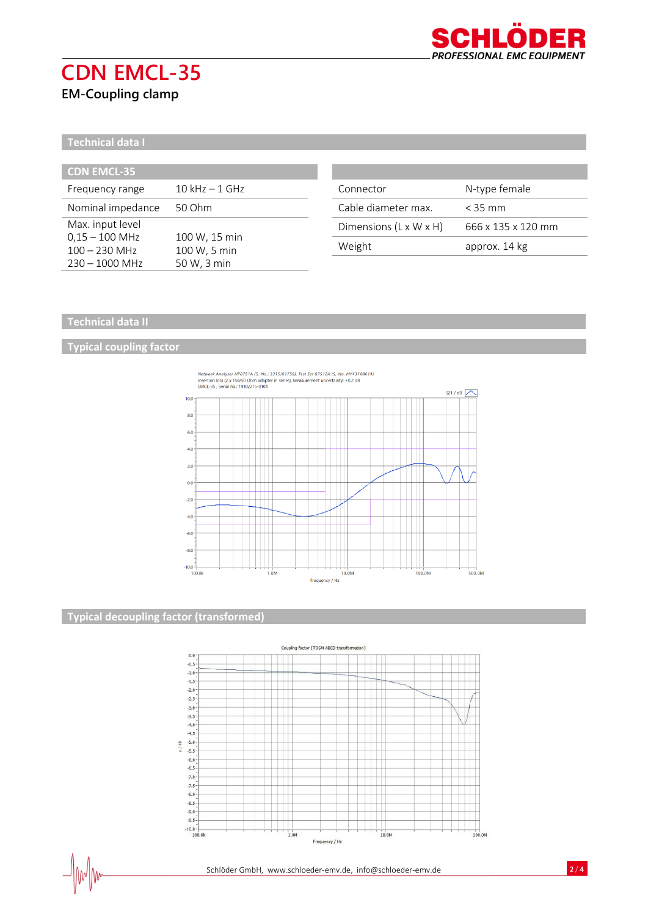

# **CDN EMCL-35**

## **EM-Coupling clamp**

**Technical data I**

| <b>CDN EMCL-35</b> |                   |
|--------------------|-------------------|
| Frequency range    | $10$ kHz $-1$ GHz |
| Nominal impedance  | 50 Ohm            |
| Max. input level   |                   |
| $0,15 - 100$ MHz   | 100 W, 15 min     |
| $100 - 230$ MHz    | 100 W, 5 min      |
| $230 - 1000$ MHz   | 50 W, 3 min       |

| Connector              | N-type female      |
|------------------------|--------------------|
| Cable diameter max.    | $<$ 35 mm          |
| Dimensions (L x W x H) | 666 x 135 x 120 mm |
| Weight                 | approx. 14 kg      |

#### **Technical data II**

#### **Typical coupling factor**



### **Typical decoupling factor (transformed)**

 $\frac{1}{2}$ 



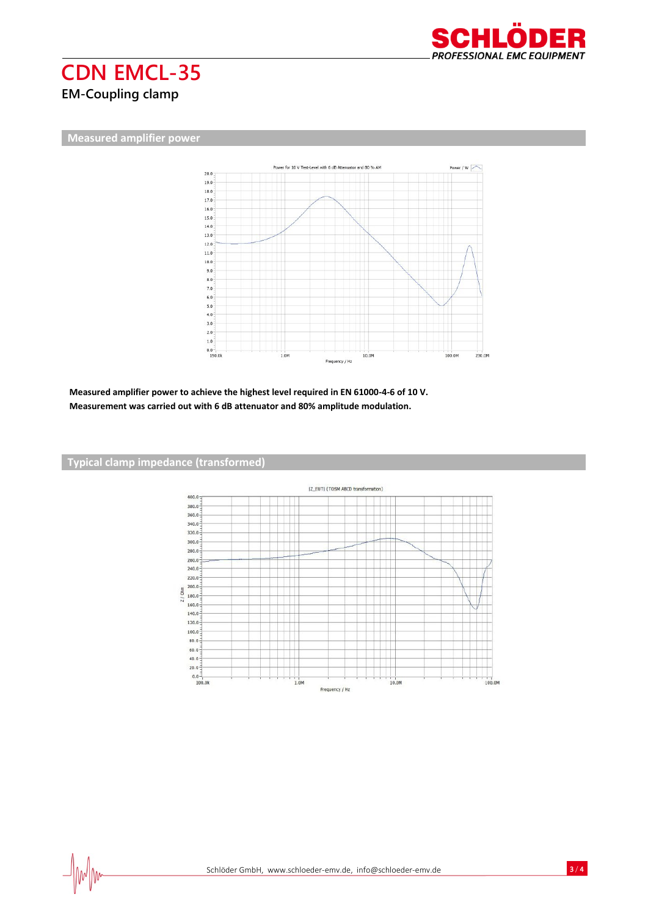

## **CDN EMCL-35 EM-Coupling clamp**

**Measured amplifier power**



**Measured amplifier power to achieve the highest level required in EN 61000-4-6 of 10 V. Measurement was carried out with 6 dB attenuator and 80% amplitude modulation.**



#### **Typical clamp impedance (transformed)**

 $\frac{1}{2}$